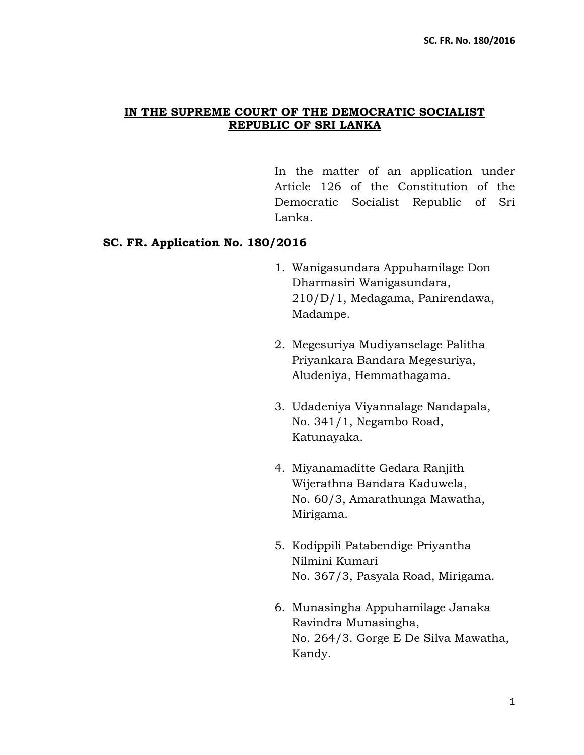## **IN THE SUPREME COURT OF THE DEMOCRATIC SOCIALIST REPUBLIC OF SRI LANKA**

In the matter of an application under Article 126 of the Constitution of the Democratic Socialist Republic of Sri Lanka.

### **SC. FR. Application No. 180/2016**

- 1. Wanigasundara Appuhamilage Don Dharmasiri Wanigasundara, 210/D/1, Medagama, Panirendawa, Madampe.
- 2. Megesuriya Mudiyanselage Palitha Priyankara Bandara Megesuriya, Aludeniya, Hemmathagama.
- 3. Udadeniya Viyannalage Nandapala, No. 341/1, Negambo Road, Katunayaka.
- 4. Miyanamaditte Gedara Ranjith Wijerathna Bandara Kaduwela, No. 60/3, Amarathunga Mawatha, Mirigama.
- 5. Kodippili Patabendige Priyantha Nilmini Kumari No. 367/3, Pasyala Road, Mirigama.
- 6. Munasingha Appuhamilage Janaka Ravindra Munasingha, No. 264/3. Gorge E De Silva Mawatha, Kandy.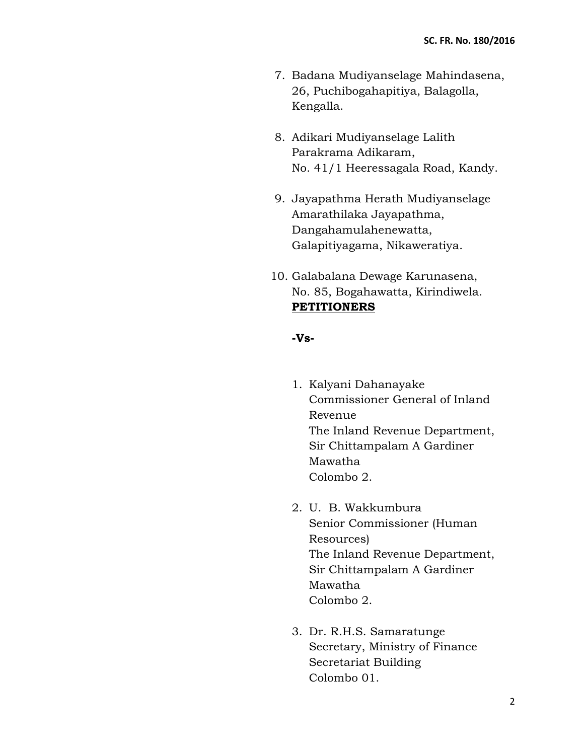- 7. Badana Mudiyanselage Mahindasena, 26, Puchibogahapitiya, Balagolla, Kengalla.
- 8. Adikari Mudiyanselage Lalith Parakrama Adikaram, No. 41/1 Heeressagala Road, Kandy.
- 9. Jayapathma Herath Mudiyanselage Amarathilaka Jayapathma, Dangahamulahenewatta, Galapitiyagama, Nikaweratiya.
- 10. Galabalana Dewage Karunasena, No. 85, Bogahawatta, Kirindiwela. **PETITIONERS**

#### **-Vs-**

- 1. Kalyani Dahanayake Commissioner General of Inland Revenue The Inland Revenue Department, Sir Chittampalam A Gardiner Mawatha Colombo 2.
- 2. U. B. Wakkumbura Senior Commissioner (Human Resources) The Inland Revenue Department, Sir Chittampalam A Gardiner Mawatha Colombo 2.
- 3. Dr. R.H.S. Samaratunge Secretary, Ministry of Finance Secretariat Building Colombo 01.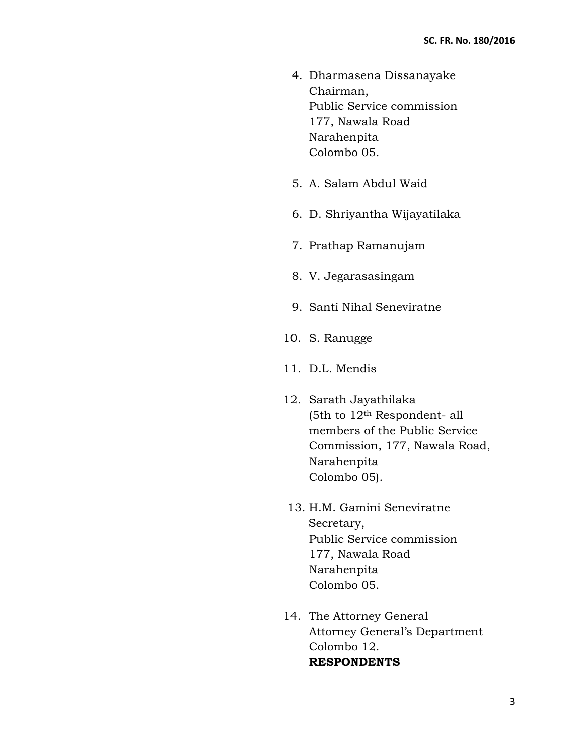- 4. Dharmasena Dissanayake Chairman, Public Service commission 177, Nawala Road Narahenpita Colombo 05.
- 5. A. Salam Abdul Waid
- 6. D. Shriyantha Wijayatilaka
- 7. Prathap Ramanujam
- 8. V. Jegarasasingam
- 9. Santi Nihal Seneviratne
- 10. S. Ranugge
- 11. D.L. Mendis
- 12. Sarath Jayathilaka (5th to 12th Respondent- all members of the Public Service Commission, 177, Nawala Road, Narahenpita Colombo 05).
- 13. H.M. Gamini Seneviratne Secretary, Public Service commission 177, Nawala Road Narahenpita Colombo 05.
- 14. The Attorney General Attorney General's Department Colombo 12. **RESPONDENTS**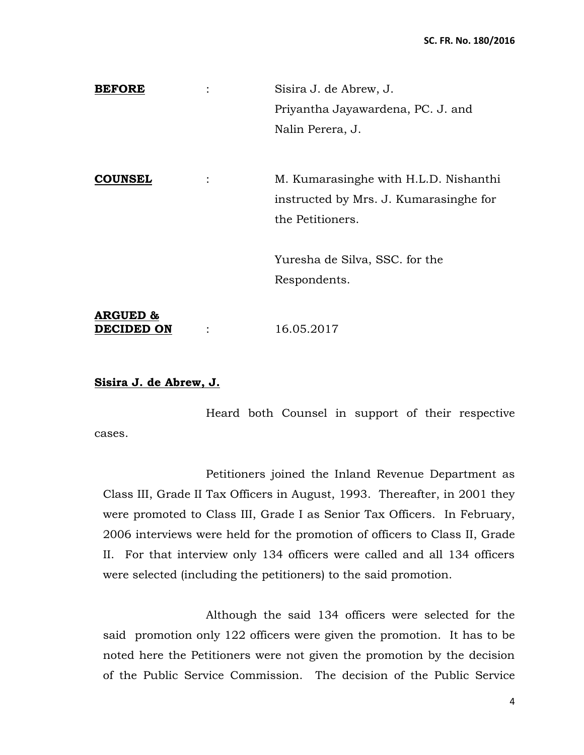| <b>BEFORE</b>                     | Sisira J. de Abrew, J.                 |
|-----------------------------------|----------------------------------------|
|                                   | Priyantha Jayawardena, PC. J. and      |
|                                   | Nalin Perera, J.                       |
|                                   |                                        |
| <b>COUNSEL</b>                    | M. Kumarasinghe with H.L.D. Nishanthi  |
|                                   | instructed by Mrs. J. Kumarasinghe for |
|                                   | the Petitioners.                       |
|                                   | Yuresha de Silva, SSC. for the         |
|                                   | Respondents.                           |
| <b>ARGUED &amp;</b><br>DECIDED ON | 16.05.2017                             |

### **Sisira J. de Abrew, J.**

Heard both Counsel in support of their respective cases.

Petitioners joined the Inland Revenue Department as Class III, Grade II Tax Officers in August, 1993. Thereafter, in 2001 they were promoted to Class III, Grade I as Senior Tax Officers. In February, 2006 interviews were held for the promotion of officers to Class II, Grade II. For that interview only 134 officers were called and all 134 officers were selected (including the petitioners) to the said promotion.

Although the said 134 officers were selected for the said promotion only 122 officers were given the promotion. It has to be noted here the Petitioners were not given the promotion by the decision of the Public Service Commission. The decision of the Public Service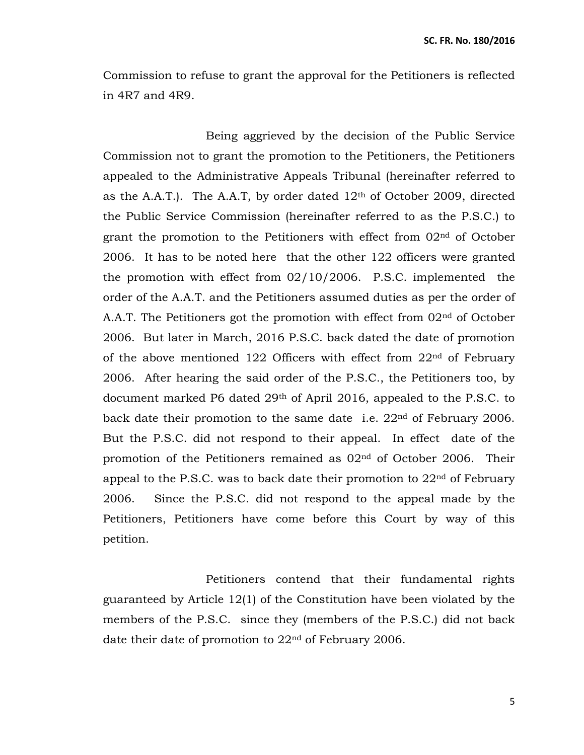Commission to refuse to grant the approval for the Petitioners is reflected in 4R7 and 4R9.

Being aggrieved by the decision of the Public Service Commission not to grant the promotion to the Petitioners, the Petitioners appealed to the Administrative Appeals Tribunal (hereinafter referred to as the A.A.T.). The A.A.T, by order dated  $12<sup>th</sup>$  of October 2009, directed the Public Service Commission (hereinafter referred to as the P.S.C.) to grant the promotion to the Petitioners with effect from 02nd of October 2006. It has to be noted here that the other 122 officers were granted the promotion with effect from 02/10/2006. P.S.C. implemented the order of the A.A.T. and the Petitioners assumed duties as per the order of A.A.T. The Petitioners got the promotion with effect from 02<sup>nd</sup> of October 2006. But later in March, 2016 P.S.C. back dated the date of promotion of the above mentioned 122 Officers with effect from  $22<sup>nd</sup>$  of February 2006. After hearing the said order of the P.S.C., the Petitioners too, by document marked P6 dated 29th of April 2016, appealed to the P.S.C. to back date their promotion to the same date i.e.  $22<sup>nd</sup>$  of February 2006. But the P.S.C. did not respond to their appeal. In effect date of the promotion of the Petitioners remained as 02nd of October 2006. Their appeal to the P.S.C. was to back date their promotion to  $22<sup>nd</sup>$  of February 2006. Since the P.S.C. did not respond to the appeal made by the Petitioners, Petitioners have come before this Court by way of this petition.

Petitioners contend that their fundamental rights guaranteed by Article 12(1) of the Constitution have been violated by the members of the P.S.C. since they (members of the P.S.C.) did not back date their date of promotion to 22nd of February 2006.

5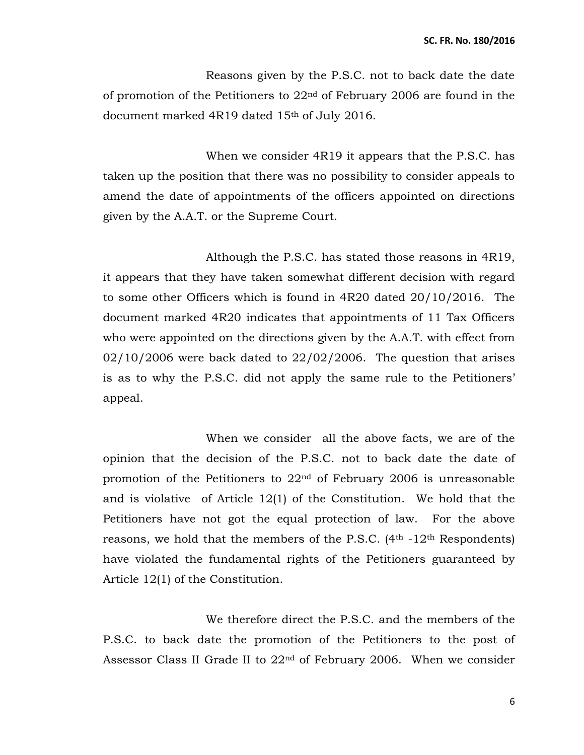Reasons given by the P.S.C. not to back date the date of promotion of the Petitioners to 22nd of February 2006 are found in the document marked 4R19 dated 15th of July 2016.

When we consider 4R19 it appears that the P.S.C. has taken up the position that there was no possibility to consider appeals to amend the date of appointments of the officers appointed on directions given by the A.A.T. or the Supreme Court.

Although the P.S.C. has stated those reasons in 4R19, it appears that they have taken somewhat different decision with regard to some other Officers which is found in 4R20 dated 20/10/2016. The document marked 4R20 indicates that appointments of 11 Tax Officers who were appointed on the directions given by the A.A.T. with effect from  $02/10/2006$  were back dated to  $22/02/2006$ . The question that arises is as to why the P.S.C. did not apply the same rule to the Petitioners' appeal.

When we consider all the above facts, we are of the opinion that the decision of the P.S.C. not to back date the date of promotion of the Petitioners to 22nd of February 2006 is unreasonable and is violative of Article 12(1) of the Constitution. We hold that the Petitioners have not got the equal protection of law. For the above reasons, we hold that the members of the P.S.C.  $(4<sup>th</sup> - 12<sup>th</sup>$  Respondents) have violated the fundamental rights of the Petitioners guaranteed by Article 12(1) of the Constitution.

We therefore direct the P.S.C. and the members of the P.S.C. to back date the promotion of the Petitioners to the post of Assessor Class II Grade II to 22nd of February 2006. When we consider